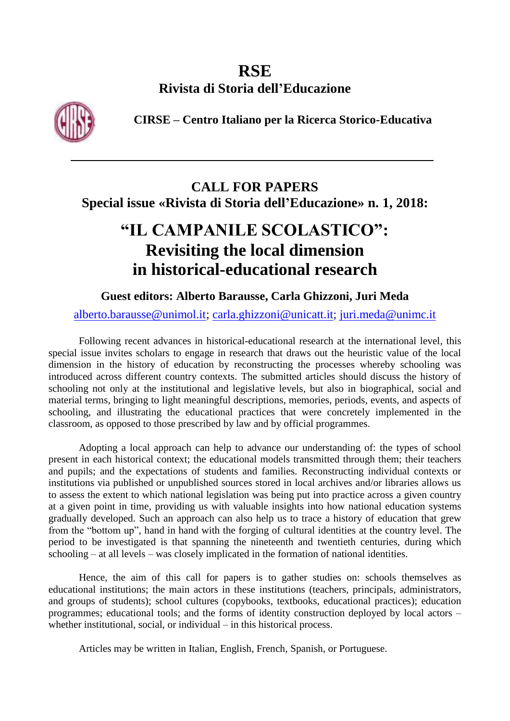# **RSE Rivista di Storia dell'Educazione**

**CIRSE – Centro Italiano per la Ricerca Storico-Educativa**



## **CALL FOR PAPERS Special issue «Rivista di Storia dell'Educazione» n. 1, 2018:**

# **"IL CAMPANILE SCOLASTICO": Revisiting the local dimension in historical-educational research**

## **Guest editors: Alberto Barausse, Carla Ghizzoni, Juri Meda**

### [alberto.barausse@unimol.it;](mailto:alberto.barausse@unimol.it) [carla.ghizzoni@unicatt.it;](mailto:carla.ghizzoni@unicatt.it) [juri.meda@unimc.it](mailto:juri.meda@unimc.it)

Following recent advances in historical-educational research at the international level, this special issue invites scholars to engage in research that draws out the heuristic value of the local dimension in the history of education by reconstructing the processes whereby schooling was introduced across different country contexts. The submitted articles should discuss the history of schooling not only at the institutional and legislative levels, but also in biographical, social and material terms, bringing to light meaningful descriptions, memories, periods, events, and aspects of schooling, and illustrating the educational practices that were concretely implemented in the classroom, as opposed to those prescribed by law and by official programmes.

Adopting a local approach can help to advance our understanding of: the types of school present in each historical context; the educational models transmitted through them; their teachers and pupils; and the expectations of students and families. Reconstructing individual contexts or institutions via published or unpublished sources stored in local archives and/or libraries allows us to assess the extent to which national legislation was being put into practice across a given country at a given point in time, providing us with valuable insights into how national education systems gradually developed. Such an approach can also help us to trace a history of education that grew from the "bottom up", hand in hand with the forging of cultural identities at the country level. The period to be investigated is that spanning the nineteenth and twentieth centuries, during which schooling – at all levels – was closely implicated in the formation of national identities.

Hence, the aim of this call for papers is to gather studies on: schools themselves as educational institutions; the main actors in these institutions (teachers, principals, administrators, and groups of students); school cultures (copybooks, textbooks, educational practices); education programmes; educational tools; and the forms of identity construction deployed by local actors – whether institutional, social, or individual – in this historical process.

Articles may be written in Italian, English, French, Spanish, or Portuguese.